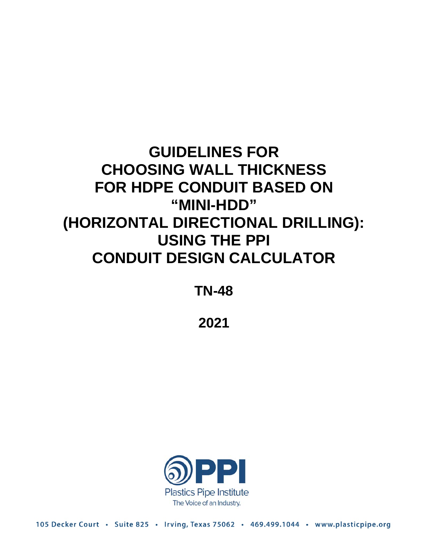# **GUIDELINES FOR CHOOSING WALL THICKNESS FOR HDPE CONDUIT BASED ON "MINI-HDD" (HORIZONTAL DIRECTIONAL DRILLING): USING THE PPI CONDUIT DESIGN CALCULATOR**

**TN-48**

**2021**



105 Decker Court · Suite 825 · Irving, Texas 75062 · 469.499.1044 · www.plasticpipe.org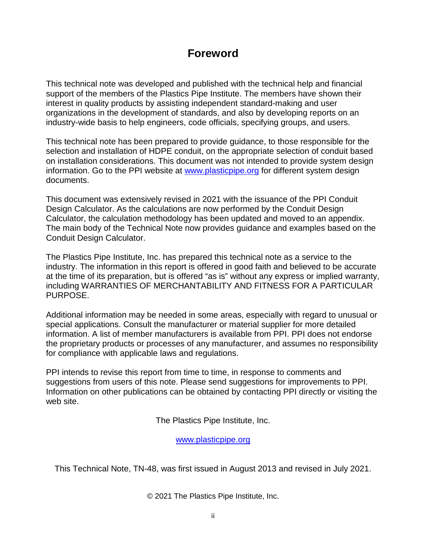# **Foreword**

This technical note was developed and published with the technical help and financial support of the members of the Plastics Pipe Institute. The members have shown their interest in quality products by assisting independent standard-making and user organizations in the development of standards, and also by developing reports on an industry-wide basis to help engineers, code officials, specifying groups, and users.

This technical note has been prepared to provide guidance, to those responsible for the selection and installation of HDPE conduit, on the appropriate selection of conduit based on installation considerations. This document was not intended to provide system design information. Go to the PPI website at [www.plasticpipe.org](http://www.plasticpipe.org/) for different system design documents.

This document was extensively revised in 2021 with the issuance of the PPI Conduit Design Calculator. As the calculations are now performed by the Conduit Design Calculator, the calculation methodology has been updated and moved to an appendix. The main body of the Technical Note now provides guidance and examples based on the Conduit Design Calculator.

The Plastics Pipe Institute, Inc. has prepared this technical note as a service to the industry. The information in this report is offered in good faith and believed to be accurate at the time of its preparation, but is offered "as is" without any express or implied warranty, including WARRANTIES OF MERCHANTABILITY AND FITNESS FOR A PARTICULAR PURPOSE.

Additional information may be needed in some areas, especially with regard to unusual or special applications. Consult the manufacturer or material supplier for more detailed information. A list of member manufacturers is available from PPI. PPI does not endorse the proprietary products or processes of any manufacturer, and assumes no responsibility for compliance with applicable laws and regulations.

PPI intends to revise this report from time to time, in response to comments and suggestions from users of this note. Please send suggestions for improvements to PPI. Information on other publications can be obtained by contacting PPI directly or visiting the web site.

The Plastics Pipe Institute, Inc.

[www.plasticpipe.org](https://www.plasticpipe.org/)

This Technical Note, TN-48, was first issued in August 2013 and revised in July 2021.

© 2021 The Plastics Pipe Institute, Inc.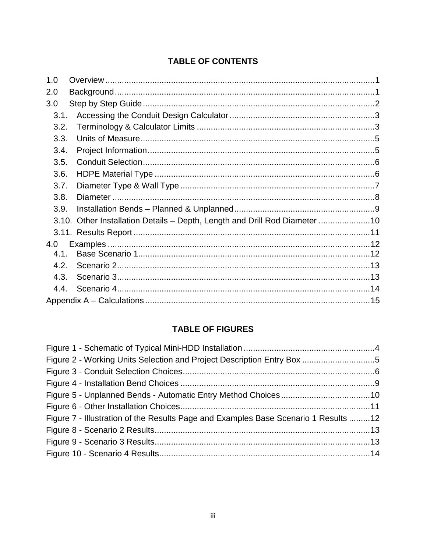## **TABLE OF CONTENTS**

| 1.0  |                                                                            |  |
|------|----------------------------------------------------------------------------|--|
| 2.0  |                                                                            |  |
| 3.0  |                                                                            |  |
| 3.1. |                                                                            |  |
| 3.2. |                                                                            |  |
| 3.3. |                                                                            |  |
| 3.4. |                                                                            |  |
| 3.5. |                                                                            |  |
| 3.6. |                                                                            |  |
| 3.7. |                                                                            |  |
| 3.8. |                                                                            |  |
| 3.9. |                                                                            |  |
|      | 3.10. Other Installation Details - Depth, Length and Drill Rod Diameter 10 |  |
|      |                                                                            |  |
| 4.0  |                                                                            |  |
| 4.1. |                                                                            |  |
| 4.2. |                                                                            |  |
| 4.3. |                                                                            |  |
| 4.4. |                                                                            |  |
|      |                                                                            |  |

## **TABLE OF FIGURES**

| Figure 2 - Working Units Selection and Project Description Entry Box 5              |  |
|-------------------------------------------------------------------------------------|--|
|                                                                                     |  |
|                                                                                     |  |
|                                                                                     |  |
|                                                                                     |  |
| Figure 7 - Illustration of the Results Page and Examples Base Scenario 1 Results 12 |  |
|                                                                                     |  |
|                                                                                     |  |
|                                                                                     |  |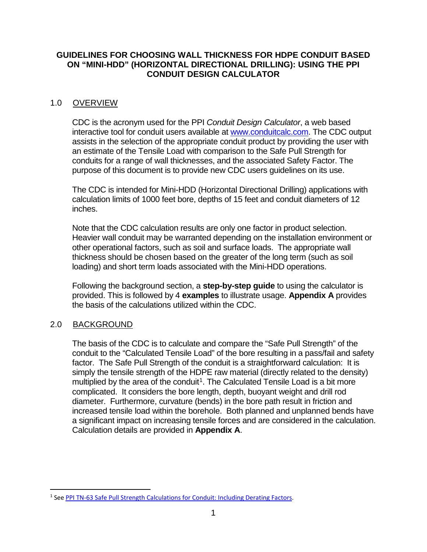## <span id="page-3-0"></span>**GUIDELINES FOR CHOOSING WALL THICKNESS FOR HDPE CONDUIT BASED ON "MINI-HDD" (HORIZONTAL DIRECTIONAL DRILLING): USING THE PPI CONDUIT DESIGN CALCULATOR**

## 1.0 OVERVIEW

CDC is the acronym used for the PPI *Conduit Design Calculator*, a web based interactive tool for conduit users available at [www.conduitcalc.com.](http://www.conduitcalc.com/) The CDC output assists in the selection of the appropriate conduit product by providing the user with an estimate of the Tensile Load with comparison to the Safe Pull Strength for conduits for a range of wall thicknesses, and the associated Safety Factor. The purpose of this document is to provide new CDC users guidelines on its use.

The CDC is intended for Mini-HDD (Horizontal Directional Drilling) applications with calculation limits of 1000 feet bore, depths of 15 feet and conduit diameters of 12 inches.

Note that the CDC calculation results are only one factor in product selection. Heavier wall conduit may be warranted depending on the installation environment or other operational factors, such as soil and surface loads. The appropriate wall thickness should be chosen based on the greater of the long term (such as soil loading) and short term loads associated with the Mini-HDD operations.

Following the background section, a **step-by-step guide** to using the calculator is provided. This is followed by 4 **examples** to illustrate usage. **Appendix A** provides the basis of the calculations utilized within the CDC.

## <span id="page-3-1"></span>2.0 BACKGROUND

The basis of the CDC is to calculate and compare the "Safe Pull Strength" of the conduit to the "Calculated Tensile Load" of the bore resulting in a pass/fail and safety factor. The Safe Pull Strength of the conduit is a straightforward calculation: It is simply the tensile strength of the HDPE raw material (directly related to the density) multiplied by the area of the conduit<sup>1</sup>. The Calculated Tensile Load is a bit more complicated. It considers the bore length, depth, buoyant weight and drill rod diameter. Furthermore, curvature (bends) in the bore path result in friction and increased tensile load within the borehole. Both planned and unplanned bends have a significant impact on increasing tensile forces and are considered in the calculation. Calculation details are provided in **Appendix A**.

<span id="page-3-2"></span><sup>&</sup>lt;sup>1</sup> See [PPI TN-63 Safe Pull Strength Calculations for Conduit: Including Derating Factors.](https://plasticpipe.org/PowerCommunications/Shared_Content/Publications/General-Litrature/Technical-Notes/TN-63-Main.aspx)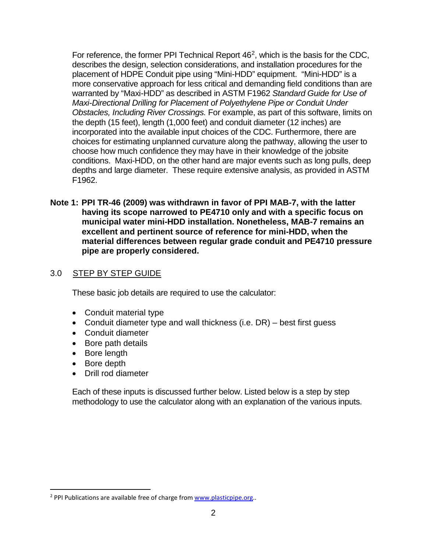For reference, the former PPI Technical Report  $46<sup>2</sup>$  $46<sup>2</sup>$  $46<sup>2</sup>$ , which is the basis for the CDC, describes the design, selection considerations, and installation procedures for the placement of HDPE Conduit pipe using "Mini-HDD" equipment. "Mini-HDD" is a more conservative approach for less critical and demanding field conditions than are warranted by "Maxi-HDD" as described in ASTM F1962 *Standard Guide for Use of Maxi-Directional Drilling for Placement of Polyethylene Pipe or Conduit Under Obstacles, Including River Crossings.* For example, as part of this software, limits on the depth (15 feet), length (1,000 feet) and conduit diameter (12 inches) are incorporated into the available input choices of the CDC. Furthermore, there are choices for estimating unplanned curvature along the pathway, allowing the user to choose how much confidence they may have in their knowledge of the jobsite conditions. Maxi-HDD, on the other hand are major events such as long pulls, deep depths and large diameter. These require extensive analysis, as provided in ASTM F1962.

**Note 1: PPI TR-46 (2009) was withdrawn in favor of PPI MAB-7, with the latter having its scope narrowed to PE4710 only and with a specific focus on municipal water mini-HDD installation. Nonetheless, MAB-7 remains an excellent and pertinent source of reference for mini-HDD, when the material differences between regular grade conduit and PE4710 pressure pipe are properly considered.**

## <span id="page-4-0"></span>3.0 STEP BY STEP GUIDE

These basic job details are required to use the calculator:

- Conduit material type
- Conduit diameter type and wall thickness (i.e. DR) best first guess
- Conduit diameter
- Bore path details
- Bore length
- Bore depth
- Drill rod diameter

<span id="page-4-1"></span>Each of these inputs is discussed further below. Listed below is a step by step methodology to use the calculator along with an explanation of the various inputs.

<span id="page-4-2"></span><sup>&</sup>lt;sup>2</sup> PPI Publications are available free of charge from [www.plasticpipe.org.](http://www.plasticpipe.org/).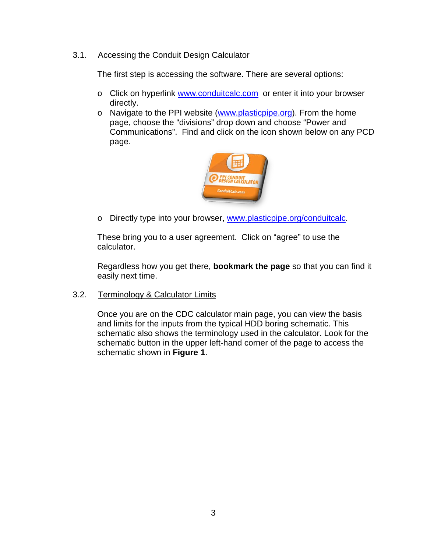## 3.1. Accessing the Conduit Design Calculator

The first step is accessing the software. There are several options:

- o Click on hyperlink [www.conduitcalc.com](http://www.conduitcalc.com/) or enter it into your browser directly.
- o Navigate to the PPI website [\(www.plasticpipe.org\)](http://www.plasticpipe.org/). From the home page, choose the "divisions" drop down and choose "Power and Communications". Find and click on the icon shown below on any PCD page.



o Directly type into your browser, [www.plasticpipe.org/conduitcalc.](http://www.plasticpipe.org/conduitcalc)

These bring you to a user agreement. Click on "agree" to use the calculator.

Regardless how you get there, **bookmark the page** so that you can find it easily next time.

<span id="page-5-0"></span>3.2. Terminology & Calculator Limits

Once you are on the CDC calculator main page, you can view the basis and limits for the inputs from the typical HDD boring schematic. This schematic also shows the terminology used in the calculator. Look for the schematic button in the upper left-hand corner of the page to access the schematic shown in **Figure 1**.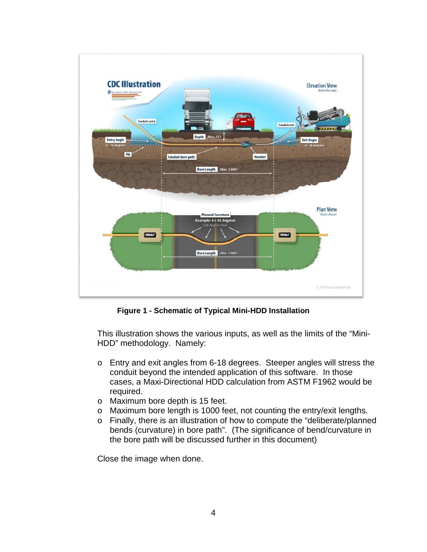

**Figure 1 - Schematic of Typical Mini-HDD Installation**

<span id="page-6-1"></span>This illustration shows the various inputs, as well as the limits of the "Mini-HDD" methodology. Namely:

- o Entry and exit angles from 6-18 degrees. Steeper angles will stress the conduit beyond the intended application of this software. In those cases, a Maxi-Directional HDD calculation from ASTM F1962 would be required.
- o Maximum bore depth is 15 feet.
- o Maximum bore length is 1000 feet, not counting the entry/exit lengths.
- o Finally, there is an illustration of how to compute the "deliberate/planned bends (curvature) in bore path". (The significance of bend/curvature in the bore path will be discussed further in this document)

<span id="page-6-0"></span>Close the image when done.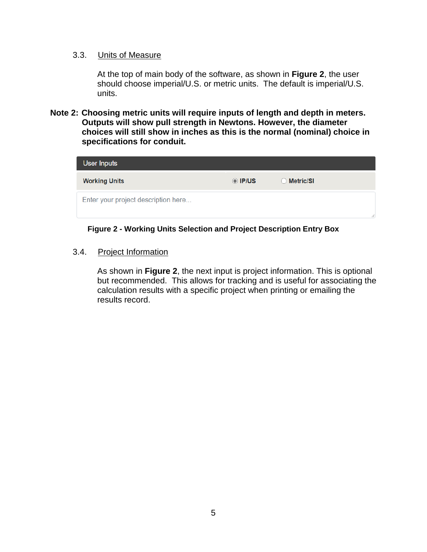#### 3.3. Units of Measure

At the top of main body of the software, as shown in **Figure 2**, the user should choose imperial/U.S. or metric units. The default is imperial/U.S. units.

**Note 2: Choosing metric units will require inputs of length and depth in meters. Outputs will show pull strength in Newtons. However, the diameter choices will still show in inches as this is the normal (nominal) choice in specifications for conduit.**

| <b>User Inputs</b>                  |         |                |   |
|-------------------------------------|---------|----------------|---|
| <b>Working Units</b>                | O IP/US | Metric/SI<br>Ω |   |
| Enter your project description here |         |                | w |

#### **Figure 2 - Working Units Selection and Project Description Entry Box**

<span id="page-7-1"></span><span id="page-7-0"></span>3.4. Project Information

As shown in **Figure 2**, the next input is project information. This is optional but recommended. This allows for tracking and is useful for associating the calculation results with a specific project when printing or emailing the results record.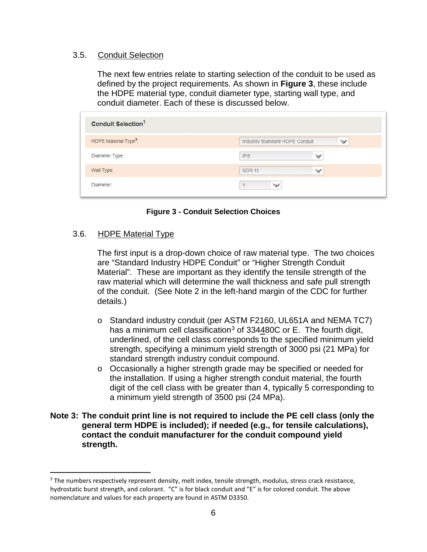#### <span id="page-8-0"></span>3.5. Conduit Selection

The next few entries relate to starting selection of the conduit to be used as defined by the project requirements. As shown in **Figure 3**, these include the HDPE material type, conduit diameter type, starting wall type, and conduit diameter. Each of these is discussed below.

| <b>Conduit Selection<sup>1</sup></b> |                                |              |   |
|--------------------------------------|--------------------------------|--------------|---|
| HDPE Material Type <sup>2</sup> :    | Industry Standard HDPE Conduit |              | v |
| Diameter Type:                       | <b>IPS</b>                     | $\checkmark$ |   |
| Wall Type:                           | <b>SDR 11</b>                  | $\checkmark$ |   |
| Diameter:                            | $\checkmark$                   |              |   |

#### **Figure 3 - Conduit Selection Choices**

#### <span id="page-8-2"></span><span id="page-8-1"></span>3.6. HDPE Material Type

The first input is a drop-down choice of raw material type. The two choices are "Standard Industry HDPE Conduit" or "Higher Strength Conduit Material". These are important as they identify the tensile strength of the raw material which will determine the wall thickness and safe pull strength of the conduit. (See Note 2 in the left-hand margin of the CDC for further details.)

- o Standard industry conduit (per ASTM F2160, UL651A and NEMA TC7) has a minimum cell classification<sup>[3](#page-8-3)</sup> of  $334480C$  or E. The fourth digit, underlined, of the cell class corresponds to the specified minimum yield strength, specifying a minimum yield strength of 3000 psi (21 MPa) for standard strength industry conduit compound.
- o Occasionally a higher strength grade may be specified or needed for the installation. If using a higher strength conduit material, the fourth digit of the cell class with be greater than 4, typically 5 corresponding to a minimum yield strength of 3500 psi (24 MPa).

#### **Note 3: The conduit print line is not required to include the PE cell class (only the general term HDPE is included); if needed (e.g., for tensile calculations), contact the conduit manufacturer for the conduit compound yield strength.**

<span id="page-8-3"></span><sup>&</sup>lt;sup>3</sup> The numbers respectively represent density, melt index, tensile strength, modulus, stress crack resistance, hydrostatic burst strength, and colorant. "C" is for black conduit and "E" is for colored conduit. The above nomenclature and values for each property are found in ASTM D3350.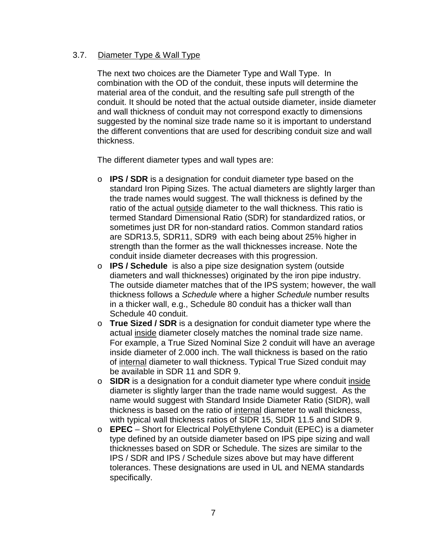## <span id="page-9-0"></span>3.7. Diameter Type & Wall Type

The next two choices are the Diameter Type and Wall Type. In combination with the OD of the conduit, these inputs will determine the material area of the conduit, and the resulting safe pull strength of the conduit. It should be noted that the actual outside diameter, inside diameter and wall thickness of conduit may not correspond exactly to dimensions suggested by the nominal size trade name so it is important to understand the different conventions that are used for describing conduit size and wall thickness.

The different diameter types and wall types are:

- o **IPS / SDR** is a designation for conduit diameter type based on the standard Iron Piping Sizes. The actual diameters are slightly larger than the trade names would suggest. The wall thickness is defined by the ratio of the actual outside diameter to the wall thickness. This ratio is termed Standard Dimensional Ratio (SDR) for standardized ratios, or sometimes just DR for non-standard ratios. Common standard ratios are SDR13.5, SDR11, SDR9 with each being about 25% higher in strength than the former as the wall thicknesses increase. Note the conduit inside diameter decreases with this progression.
- o **IPS / Schedule** is also a pipe size designation system (outside diameters and wall thicknesses) originated by the iron pipe industry. The outside diameter matches that of the IPS system; however, the wall thickness follows a *Schedule* where a higher *Schedule* number results in a thicker wall, e.g., Schedule 80 conduit has a thicker wall than Schedule 40 conduit.
- o **True Sized / SDR** is a designation for conduit diameter type where the actual inside diameter closely matches the nominal trade size name. For example, a True Sized Nominal Size 2 conduit will have an average inside diameter of 2.000 inch. The wall thickness is based on the ratio of internal diameter to wall thickness. Typical True Sized conduit may be available in SDR 11 and SDR 9.
- o **SIDR** is a designation for a conduit diameter type where conduit inside diameter is slightly larger than the trade name would suggest. As the name would suggest with Standard Inside Diameter Ratio (SIDR), wall thickness is based on the ratio of internal diameter to wall thickness, with typical wall thickness ratios of SIDR 15, SIDR 11.5 and SIDR 9.
- o **EPEC** Short for Electrical PolyEthylene Conduit (EPEC) is a diameter type defined by an outside diameter based on IPS pipe sizing and wall thicknesses based on SDR or Schedule. The sizes are similar to the IPS / SDR and IPS / Schedule sizes above but may have different tolerances. These designations are used in UL and NEMA standards specifically.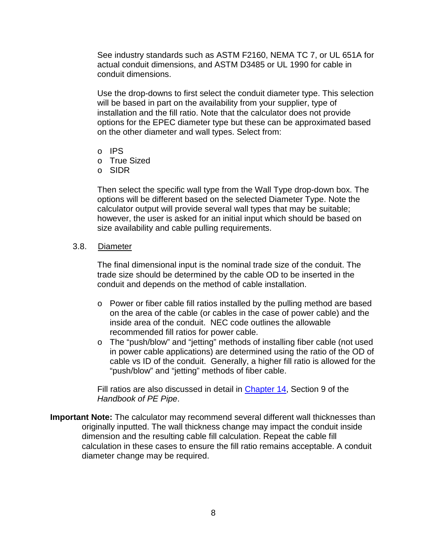See industry standards such as ASTM F2160, NEMA TC 7, or UL 651A for actual conduit dimensions, and ASTM D3485 or UL 1990 for cable in conduit dimensions.

Use the drop-downs to first select the conduit diameter type. This selection will be based in part on the availability from your supplier, type of installation and the fill ratio. Note that the calculator does not provide options for the EPEC diameter type but these can be approximated based on the other diameter and wall types. Select from:

- o IPS
- o True Sized
- o SIDR

Then select the specific wall type from the Wall Type drop-down box. The options will be different based on the selected Diameter Type. Note the calculator output will provide several wall types that may be suitable; however, the user is asked for an initial input which should be based on size availability and cable pulling requirements.

#### <span id="page-10-0"></span>3.8. Diameter

The final dimensional input is the nominal trade size of the conduit. The trade size should be determined by the cable OD to be inserted in the conduit and depends on the method of cable installation.

- o Power or fiber cable fill ratios installed by the pulling method are based on the area of the cable (or cables in the case of power cable) and the inside area of the conduit. NEC code outlines the allowable recommended fill ratios for power cable.
- o The "push/blow" and "jetting" methods of installing fiber cable (not used in power cable applications) are determined using the ratio of the OD of cable vs ID of the conduit. Generally, a higher fill ratio is allowed for the "push/blow" and "jetting" methods of fiber cable.

Fill ratios are also discussed in detail in [Chapter 14,](https://plasticpipe.org/pdf/chapter14.pdf) Section 9 of the *Handbook of PE Pipe*.

**Important Note:** The calculator may recommend several different wall thicknesses than originally inputted. The wall thickness change may impact the conduit inside dimension and the resulting cable fill calculation. Repeat the cable fill calculation in these cases to ensure the fill ratio remains acceptable. A conduit diameter change may be required.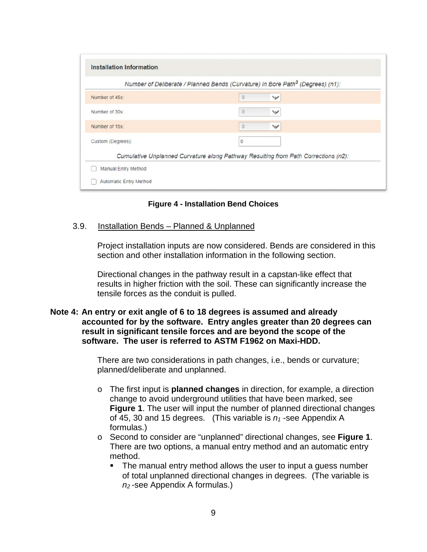|                   | Number of Deliberate / Planned Bends (Curvature) in Bore Path <sup>3</sup> (Degrees) (n1): |  |
|-------------------|--------------------------------------------------------------------------------------------|--|
| Number of 45s:    | $\overline{0}$<br>$\checkmark$                                                             |  |
| Number of 30s:    | $\circ$<br>$\checkmark$                                                                    |  |
| Number of 15s:    | $\theta$<br>$\checkmark$                                                                   |  |
| Custom (Degrees): | $\circ$                                                                                    |  |
|                   | Cumulative Unplanned Curvature along Pathway Resulting from Path Corrections (n2):         |  |

**Figure 4 - Installation Bend Choices**

#### <span id="page-11-1"></span><span id="page-11-0"></span>3.9. Installation Bends – Planned & Unplanned

Project installation inputs are now considered. Bends are considered in this section and other installation information in the following section.

Directional changes in the pathway result in a capstan-like effect that results in higher friction with the soil. These can significantly increase the tensile forces as the conduit is pulled.

#### **Note 4: An entry or exit angle of 6 to 18 degrees is assumed and already accounted for by the software. Entry angles greater than 20 degrees can result in significant tensile forces and are beyond the scope of the software. The user is referred to ASTM F1962 on Maxi-HDD.**

There are two considerations in path changes, i.e., bends or curvature; planned/deliberate and unplanned.

- o The first input is **planned changes** in direction, for example, a direction change to avoid underground utilities that have been marked, see **Figure 1**. The user will input the number of planned directional changes of 45, 30 and 15 degrees. (This variable is  $n_1$ -see Appendix A formulas.)
- o Second to consider are "unplanned" directional changes, see **Figure 1**. There are two options, a manual entry method and an automatic entry method.
	- The manual entry method allows the user to input a quess number of total unplanned directional changes in degrees. (The variable is *n2* -see Appendix A formulas.)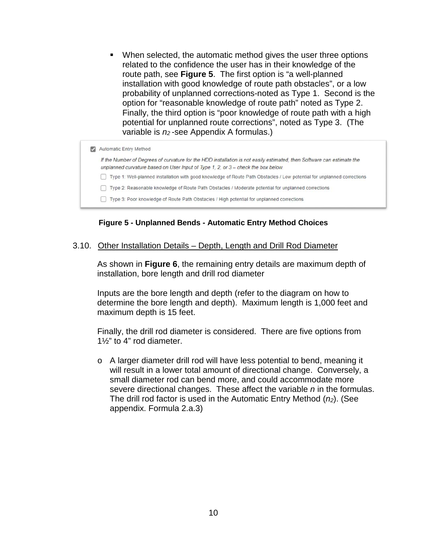When selected, the automatic method gives the user three options related to the confidence the user has in their knowledge of the route path, see **Figure 5**. The first option is "a well-planned installation with good knowledge of route path obstacles", or a low probability of unplanned corrections-noted as Type 1. Second is the option for "reasonable knowledge of route path" noted as Type 2. Finally, the third option is "poor knowledge of route path with a high potential for unplanned route corrections", noted as Type 3. (The variable is *n2* -see Appendix A formulas.)

| Automatic Entry Method                                                                                                                                                                                        |
|---------------------------------------------------------------------------------------------------------------------------------------------------------------------------------------------------------------|
| If the Number of Degrees of curvature for the HDD installation is not easily estimated, then Software can estimate the<br>unplanned curvature based on User Input of Type 1, 2, or $3$ – check the box below. |
| Type 1: Well-planned installation with good knowledge of Route Path Obstacles / Low potential for unplanned corrections                                                                                       |
| Type 2: Reasonable knowledge of Route Path Obstacles / Moderate potential for unplanned corrections                                                                                                           |
| Type 3: Poor knowledge of Route Path Obstacles / High potential for unplanned corrections                                                                                                                     |

**Figure 5 - Unplanned Bends - Automatic Entry Method Choices**

#### <span id="page-12-1"></span><span id="page-12-0"></span>3.10. Other Installation Details – Depth, Length and Drill Rod Diameter

As shown in **Figure 6**, the remaining entry details are maximum depth of installation, bore length and drill rod diameter

Inputs are the bore length and depth (refer to the diagram on how to determine the bore length and depth). Maximum length is 1,000 feet and maximum depth is 15 feet.

Finally, the drill rod diameter is considered. There are five options from 1½" to 4" rod diameter.

o A larger diameter drill rod will have less potential to bend, meaning it will result in a lower total amount of directional change. Conversely, a small diameter rod can bend more, and could accommodate more severe directional changes. These affect the variable *n* in the formulas. The drill rod factor is used in the Automatic Entry Method (*n2*). (See appendix. Formula 2.a.3)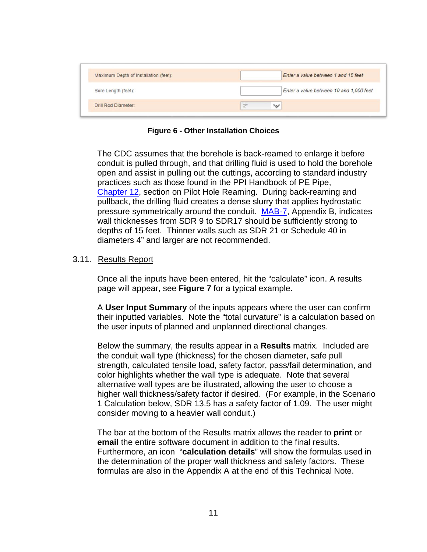| Maximum Depth of Installation (feet): | Enter a value between 1 and 15 feet     |
|---------------------------------------|-----------------------------------------|
| Bore Length (feet):                   | Enter a value between 10 and 1,000 feet |
| Drill Rod Diameter:                   | 2 <sup>n</sup><br>$\checkmark$          |

**Figure 6 - Other Installation Choices**

<span id="page-13-1"></span>The CDC assumes that the borehole is back-reamed to enlarge it before conduit is pulled through, and that drilling fluid is used to hold the borehole open and assist in pulling out the cuttings, according to standard industry practices such as those found in the PPI Handbook of PE Pipe, [Chapter](https://plasticpipe.org/pdf/chapter12.pdf) 12, section on Pilot Hole Reaming. During back-reaming and pullback, the drilling fluid creates a dense slurry that applies hydrostatic pressure symmetrically around the conduit. [MAB-7,](https://plasticpipe.org/pdf/mab-7-mini-hdd-guide.pdf) Appendix B, indicates wall thicknesses from SDR 9 to SDR17 should be sufficiently strong to depths of 15 feet. Thinner walls such as SDR 21 or Schedule 40 in diameters 4" and larger are not recommended.

## <span id="page-13-0"></span>3.11. Results Report

Once all the inputs have been entered, hit the "calculate" icon. A results page will appear, see **Figure 7** for a typical example.

A **User Input Summary** of the inputs appears where the user can confirm their inputted variables. Note the "total curvature" is a calculation based on the user inputs of planned and unplanned directional changes.

Below the summary, the results appear in a **Results** matrix. Included are the conduit wall type (thickness) for the chosen diameter, safe pull strength, calculated tensile load, safety factor, pass/fail determination, and color highlights whether the wall type is adequate. Note that several alternative wall types are be illustrated, allowing the user to choose a higher wall thickness/safety factor if desired. (For example, in the Scenario 1 Calculation below, SDR 13.5 has a safety factor of 1.09. The user might consider moving to a heavier wall conduit.)

The bar at the bottom of the Results matrix allows the reader to **print** or **email** the entire software document in addition to the final results. Furthermore, an icon "**calculation details**" will show the formulas used in the determination of the proper wall thickness and safety factors. These formulas are also in the Appendix A at the end of this Technical Note.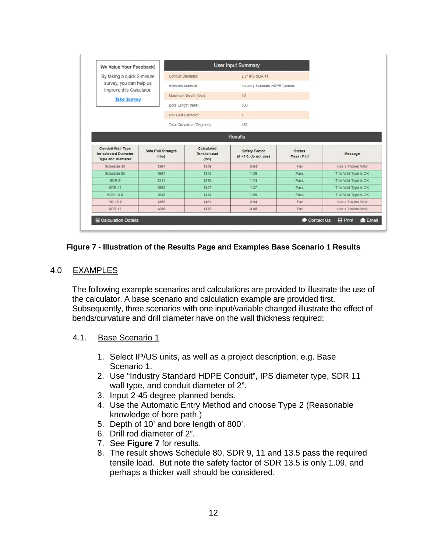| We Value Your Feedback!                                                       |                                    |                                            | <b>User Input Summary</b>                      |                              |                      |
|-------------------------------------------------------------------------------|------------------------------------|--------------------------------------------|------------------------------------------------|------------------------------|----------------------|
| By taking a quick 2-minute                                                    |                                    | Conduit Diameter:                          | 2.0" IPS SDR 11                                |                              |                      |
| survey, you can help us<br>improve this Calculator.                           |                                    | Selected Material                          | Industry Standard HDPE Conduit                 |                              |                      |
| <b>Take Survey</b>                                                            |                                    | Maximum Depth (feet):                      | 10                                             |                              |                      |
|                                                                               |                                    | Bore Length (feet):                        | 800                                            |                              |                      |
|                                                                               |                                    | Drill Rod Diameter                         | $\overline{2}$                                 |                              |                      |
|                                                                               |                                    | Total Curvature (Degrees):                 | 162                                            |                              |                      |
|                                                                               |                                    |                                            | <b>Results</b>                                 |                              |                      |
| <b>Conduit Wall Type</b><br>for selected Diameter<br><b>Type and Diameter</b> | <b>Safe Pull Strength</b><br>(Ibs) | Calculated<br><b>Tensile Load</b><br>(Ibs) | <b>Safety Factor</b><br>(if < 1.0, do not use) | <b>Status</b><br>Pass / Fail | Message              |
| Schedule 40                                                                   | 1367                               | 1449                                       | 0.94                                           | Fail                         | Use a Thicker Wall   |
| Schedule 80                                                                   | 1867                               | 1344                                       | 1.39                                           | Pass                         | This Wall Type is OK |
| SDR 9                                                                         | 2211                               | 1272                                       | 1.74                                           | Pass                         | This Wall Type is OK |
| <b>SDR 11</b>                                                                 | 1852                               | 1347                                       | 1.37                                           | Pass                         | This Wall Type is OK |
| SDR 13.5                                                                      | 1535                               | 1414                                       | 1.09                                           | Pass                         | This Wall Type is OK |
| DR 15.5                                                                       | 1359                               | 1451                                       | 0.94                                           | Fail                         | Use a Thicker Wall   |
|                                                                               | 1258                               | 1472                                       | 0.85                                           | Fail                         | Use a Thicker Wall   |

#### <span id="page-14-2"></span>**Figure 7 - Illustration of the Results Page and Examples Base Scenario 1 Results**

#### <span id="page-14-0"></span>4.0 EXAMPLES

The following example scenarios and calculations are provided to illustrate the use of the calculator. A base scenario and calculation example are provided first. Subsequently, three scenarios with one input/variable changed illustrate the effect of bends/curvature and drill diameter have on the wall thickness required:

#### <span id="page-14-1"></span>4.1. Base Scenario 1

- 1. Select IP/US units, as well as a project description, e.g. Base Scenario 1.
- 2. Use "Industry Standard HDPE Conduit", IPS diameter type, SDR 11 wall type, and conduit diameter of 2".
- 3. Input 2-45 degree planned bends.
- 4. Use the Automatic Entry Method and choose Type 2 (Reasonable knowledge of bore path.)
- 5. Depth of 10' and bore length of 800'.
- 6. Drill rod diameter of 2".
- 7. See **Figure 7** for results.
- 8. The result shows Schedule 80, SDR 9, 11 and 13.5 pass the required tensile load. But note the safety factor of SDR 13.5 is only 1.09, and perhaps a thicker wall should be considered.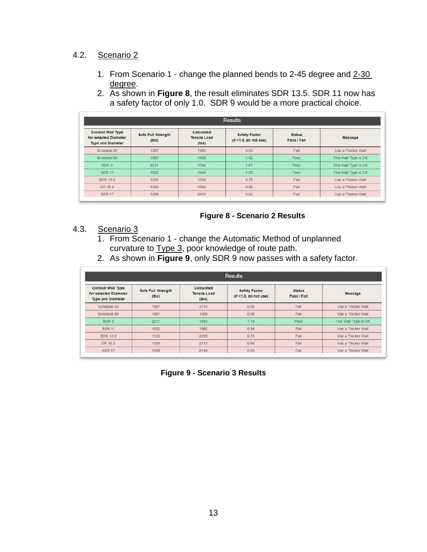## <span id="page-15-0"></span>4.2. Scenario 2

1. From Scenario 1 - change the planned bends to 2-45 degree and 2-30 degree. 2. As shown in **Figure 8**, the result eliminates SDR 13.5. SDR 11 now has

|  | 2. As shown in <b>Figure 8</b> , the result eliminates SDR 13.5. SDR 11 now has |
|--|---------------------------------------------------------------------------------|
|  | a safety factor of only 1.0. SDR 9 would be a more practical choice.            |
|  |                                                                                 |

| <b>Results</b>                                                                |                             |                                            |                                               |                              |                      |
|-------------------------------------------------------------------------------|-----------------------------|--------------------------------------------|-----------------------------------------------|------------------------------|----------------------|
| <b>Conduit Wall Type</b><br>for selected Diameter<br><b>Type and Diameter</b> | Safe Pull Strength<br>(Ibs) | Calculated<br><b>Tensile Load</b><br>(Ibs) | <b>Safety Factor</b><br>(f < 1.0, do not use) | <b>Status</b><br>Pass / Fail | Message              |
| Schedule 40                                                                   | 1367                        | 1982                                       | 0.69                                          | Fall                         | Use a Thicker Wall   |
| Schedule 80                                                                   | 1867                        | 1839                                       | 1.02                                          | Pass                         | This Wall Type is OK |
| SDR 9                                                                         | 2211                        | 1740                                       | 1.27                                          | Pass                         | This Wall Type is OK |
| <b>SDR 11</b>                                                                 | 1852                        | 1843                                       | 1.00                                          | Pass                         | This Wall Type is OK |
| SDR 13.5                                                                      | 1535                        | 1934                                       | 0.79                                          | Fail                         | Use a Thicker Wall   |
| DR 15.5                                                                       | 1359                        | 1984                                       | 0.68                                          | Fall                         | Use a Thicker Wall   |
| <b>SDR 17</b>                                                                 | 1258                        | 2013                                       | 0.62                                          | Fail                         | Use a Thicker Wall   |

#### <span id="page-15-2"></span>**Figure 8 - Scenario 2 Results**

#### <span id="page-15-1"></span>4.3. Scenario 3

- 1. From Scenario 1 change the Automatic Method of unplanned curvature to **Type 3**, poor knowledge of route path.
- 2. As shown in **Figure 9**, only SDR 9 now passes with a safety factor.

<span id="page-15-3"></span>

| <b>Results</b>                                                                |                             |                                            |                                                |                              |                      |
|-------------------------------------------------------------------------------|-----------------------------|--------------------------------------------|------------------------------------------------|------------------------------|----------------------|
| <b>Conduit Wall Type</b><br>for selected Diameter<br><b>Type and Diameter</b> | Safe Pull Strength<br>(Ibs) | Calculated<br><b>Tensile Load</b><br>(Ibs) | <b>Safety Factor</b><br>(it < 1.0, do not use) | <b>Status</b><br>Pass / Fail | Message              |
| Schedule 40                                                                   | 1367                        | 2110                                       | 0.65                                           | Fall                         | Use a Thicker Wall   |
| Schedule 80                                                                   | 1867                        | 1958                                       | 0.95                                           | Fall                         | Use a Thicker Wall   |
| SDR 9                                                                         | 2211                        | 1853                                       | 1.19                                           | Pass                         | This Wall Type is OK |
| <b>SDR 11</b>                                                                 | 1852                        | 1962                                       | 0.94                                           | Fall                         | Use a Thicker Wall   |
| SDR 13.5                                                                      | 1535                        | 2059                                       | 0.75                                           | Fall                         | Use a Thicker Wall   |
| DR 15.5                                                                       | 1359                        | 2113                                       | 0.64                                           | Fail                         | Use a Thicker Wall   |
| <b>SDR 17</b>                                                                 | 1258                        | 2144                                       | 0.59                                           | Fall                         | Use a Thicker Wall   |

**Figure 9 - Scenario 3 Results**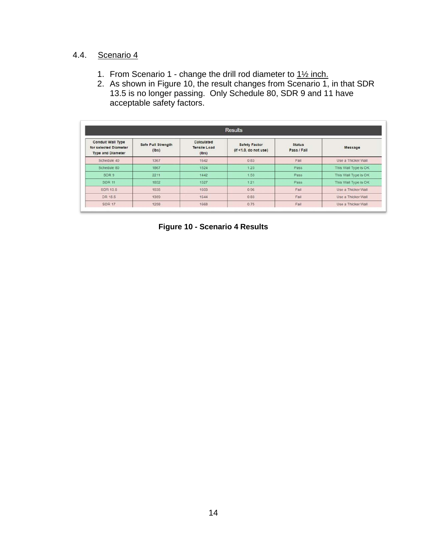## <span id="page-16-0"></span>4.4. Scenario 4

- 1. From Scenario 1 change the drill rod diameter to 1<sup>1/2</sup> inch.
- 2. As shown in Figure 10, the result changes from Scenario 1, in that SDR 13.5 is no longer passing. Only Schedule 80, SDR 9 and 11 have acceptable safety factors.

<span id="page-16-1"></span>

| <b>Results</b>                                                                |                             |                                            |                                                |                              |                      |
|-------------------------------------------------------------------------------|-----------------------------|--------------------------------------------|------------------------------------------------|------------------------------|----------------------|
| <b>Conduit Wall Type</b><br>for selected Diameter<br><b>Type and Diameter</b> | Safe Pull Strength<br>(Ibs) | Calculated<br><b>Tensile Load</b><br>(Ibs) | <b>Safety Factor</b><br>(if < 1.0, do not use) | <b>Status</b><br>Pass / Fail | Message              |
| Schedule 40                                                                   | 1367                        | 1642                                       | 0.83                                           | Fail                         | Use a Thicker Wall   |
| Schedule 80                                                                   | 1867                        | 1524                                       | 1.23                                           | Pass                         | This Wall Type is OK |
| SDR 9                                                                         | 2211                        | 1442                                       | 1.53                                           | Pass                         | This Wall Type is OK |
| <b>SDR 11</b>                                                                 | 1852                        | 1527                                       | 1.21                                           | Pass                         | This Wall Type is OK |
| SDR 13.5                                                                      | 1535                        | 1603                                       | 0.96                                           | Fall                         | Use a Thicker Wall   |
| DR 15.5                                                                       | 1359                        | 1644                                       | 0.83                                           | Fail                         | Use a Thicker Wall   |
| <b>SDR 17</b>                                                                 | 1258                        | 1668                                       | 0.75                                           | Fail                         | Use a Thicker Wall   |

**Figure 10 - Scenario 4 Results**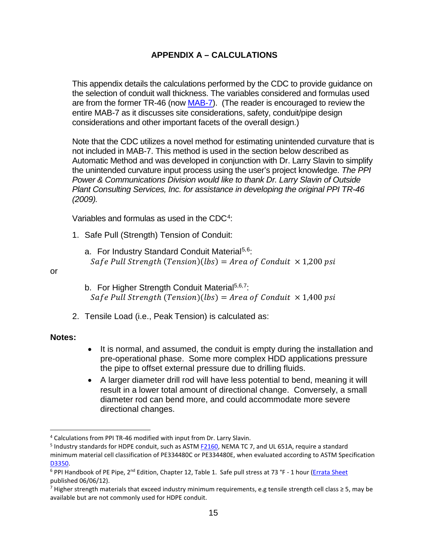## **APPENDIX A – CALCULATIONS**

<span id="page-17-0"></span>This appendix details the calculations performed by the CDC to provide guidance on the selection of conduit wall thickness. The variables considered and formulas used are from the former TR-46 (now [MAB-7\)](https://plasticpipe.org/pdf/mab-7-mini-hdd-guide.pdf). (The reader is encouraged to review the entire MAB-7 as it discusses site considerations, safety, conduit/pipe design considerations and other important facets of the overall design.)

Note that the CDC utilizes a novel method for estimating unintended curvature that is not included in MAB-7. This method is used in the section below described as Automatic Method and was developed in conjunction with Dr. Larry Slavin to simplify the unintended curvature input process using the user's project knowledge. *The PPI Power & Communications Division would like to thank Dr. Larry Slavin of Outside Plant Consulting Services, Inc. for assistance in developing the original PPI TR-46 (2009).* 

Variables and formulas as used in the CDC<sup>[4](#page-17-3)</sup>:

- 1. Safe Pull (Strength) Tension of Conduit:
	- a. For Industry Standard Conduit Material<sup>[5](#page-17-4),[6](#page-17-5)</sup>: Safe Pull Strength (Tension)(lbs) =  $Area of$  Conduit  $\times$  1,200 psi

#### or

- <span id="page-17-2"></span><span id="page-17-1"></span>b. For Higher Strength Conduit Material<sup>5[,6,](#page-17-2)7</sup>: Safe Pull Strength (Tension)(lbs) =  $Area of$  Conduit  $\times$  1,400 psi
- 2. Tensile Load (i.e., Peak Tension) is calculated as:

#### **Notes:**

- It is normal, and assumed, the conduit is empty during the installation and pre-operational phase. Some more complex HDD applications pressure the pipe to offset external pressure due to drilling fluids.
- A larger diameter drill rod will have less potential to bend, meaning it will result in a lower total amount of directional change. Conversely, a small diameter rod can bend more, and could accommodate more severe directional changes.

<span id="page-17-3"></span> <sup>4</sup> Calculations from PPI TR-46 modified with input from Dr. Larry Slavin.

<span id="page-17-4"></span><sup>5</sup> Industry standards for HDPE conduit, such as ASTM [F2160,](http://www.astm.org/cgi-bin/resolver.cgi?F2160) NEMA TC 7, and UL 651A, require a standard minimum material cell classification of PE334480C or PE334480E, when evaluated according to ASTM Specification D3350.<br><sup>6</sup> PPI Handbook of PE Pipe, 2<sup>nd</sup> Edition, Chapter 12, Table 1. Safe pull stress at 73 °F - 1 hour [\(Errata Sheet](https://plasticpipe.org/pdf/ppi-pe-handbook-errata-sheet.pdf)

<span id="page-17-5"></span>published 06/06/12).

<span id="page-17-6"></span><sup>7</sup> Higher strength materials that exceed industry minimum requirements, e.g tensile strength cell class  $\geq$  5, may be available but are not commonly used for HDPE conduit.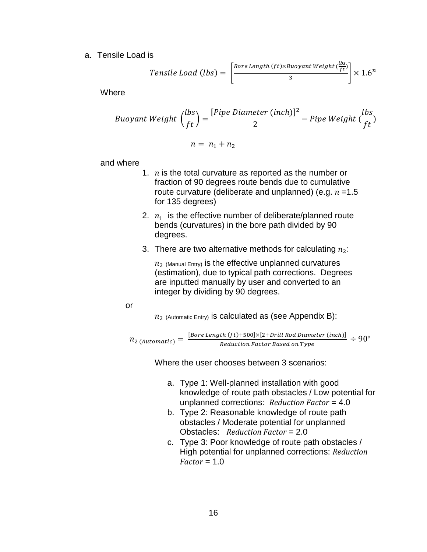a. Tensile Load is

$$
Tensile Load (lbs) = \left[\frac{Bore Length (ft) \times Buoyant Weight (\frac{lbs}{ft})}{3}\right] \times 1.6^n
$$

**Where** 

Buoyant Weight 
$$
\left(\frac{lbs}{ft}\right) = \frac{[Pipe \text{Diameter (inch)]}^2}{2} - Pipe \text{Weight } \left(\frac{lbs}{ft}\right)
$$
  

$$
n = n_1 + n_2
$$

and where

- 1.  $n$  is the total curvature as reported as the number or fraction of 90 degrees route bends due to cumulative route curvature (deliberate and unplanned) (e.g.  $n = 1.5$ for 135 degrees)
- 2.  $n_1$  is the effective number of deliberate/planned route bends (curvatures) in the bore path divided by 90 degrees.
- 3. There are two alternative methods for calculating  $n_2$ :

 $n<sub>2</sub>$  (Manual Entry) is the effective unplanned curvatures (estimation), due to typical path corrections. Degrees are inputted manually by user and converted to an integer by dividing by 90 degrees.

#### or

 $n_2$  (Automatic Entry) is calculated as (see Appendix B):

$$
n_{2 (Automatic)} = \frac{[Bore Length (ft) + 500] \times [2 + Drill Rod Diameter (inch)]}{Reduction Factor Based on Type} \div 90^{\circ}
$$

Where the user chooses between 3 scenarios:

- a. Type 1: Well-planned installation with good knowledge of route path obstacles / Low potential for unplanned corrections: *Reduction Factor* = 4.0
- b. Type 2: Reasonable knowledge of route path obstacles / Moderate potential for unplanned Obstacles: *Reduction Factor* = 2.0
- c. Type 3: Poor knowledge of route path obstacles / High potential for unplanned corrections: *Reduction Factor* = 1.0